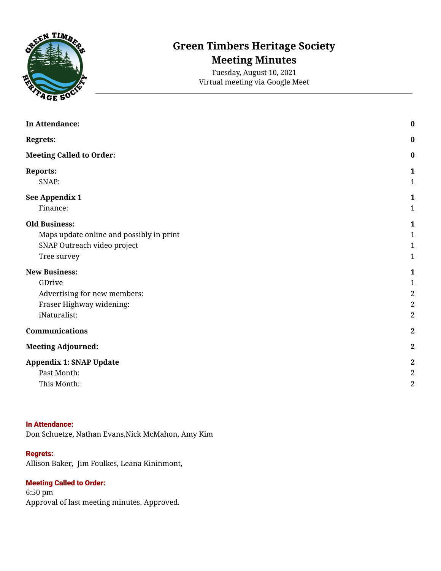

# **Green Timbers Heritage Society Meeting Minutes**

Tuesday, August 10, 2021 Virtual meeting via Google Meet

| In Attendance:                           | $\bf{0}$         |
|------------------------------------------|------------------|
| <b>Regrets:</b>                          | $\bf{0}$         |
| <b>Meeting Called to Order:</b>          | $\boldsymbol{0}$ |
| <b>Reports:</b>                          | 1                |
| SNAP:                                    | $\mathbf{1}$     |
| See Appendix 1                           | 1                |
| Finance:                                 | $\mathbf{1}$     |
| <b>Old Business:</b>                     | 1                |
| Maps update online and possibly in print | 1                |
| SNAP Outreach video project              | 1                |
| Tree survey                              | 1                |
| <b>New Business:</b>                     | $\mathbf{1}$     |
| GDrive                                   | 1                |
| Advertising for new members:             | $\sqrt{2}$       |
| Fraser Highway widening:                 | $\sqrt{2}$       |
| iNaturalist:                             | $\overline{2}$   |
| Communications                           | $\boldsymbol{2}$ |
| <b>Meeting Adjourned:</b>                | $\boldsymbol{2}$ |
| <b>Appendix 1: SNAP Update</b>           | $\boldsymbol{2}$ |
| Past Month:                              | $\boldsymbol{2}$ |
| This Month:                              | $\overline{2}$   |

#### <span id="page-0-0"></span>In Attendance:

Don Schuetze, Nathan Evans,Nick McMahon, Amy Kim

#### <span id="page-0-1"></span>Regrets:

Allison Baker, Jim Foulkes, Leana Kininmont,

# <span id="page-0-2"></span>Meeting Called to Order:

6:50 pm Approval of last meeting minutes. Approved.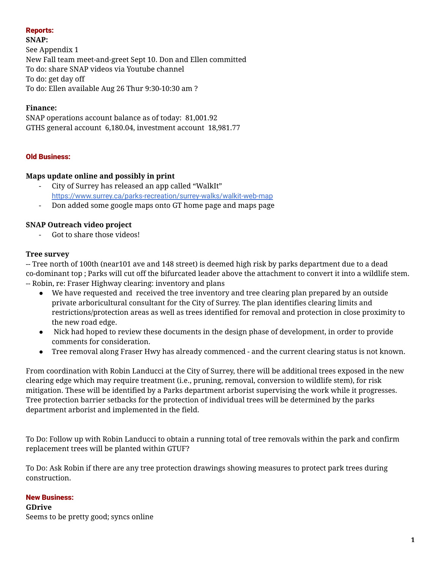# <span id="page-1-0"></span>Reports:

<span id="page-1-1"></span>**SNAP:**

<span id="page-1-2"></span>See Appendix 1 New Fall team meet-and-greet Sept 10. Don and Ellen committed To do: share SNAP videos via Youtube channel To do: get day off To do: Ellen available Aug 26 Thur 9:30-10:30 am ?

# <span id="page-1-3"></span>**Finance:**

SNAP operations account balance as of today: 81,001.92 GTHS general account 6,180.04, investment account 18,981.77

# <span id="page-1-4"></span>Old Business:

# <span id="page-1-5"></span>**Maps update online and possibly in print**

- City of Surrey has released an app called "WalkIt" <https://www.surrey.ca/parks-recreation/surrey-walks/walkit-web-map>
- Don added some google maps onto GT home page and maps page

# <span id="page-1-6"></span>**SNAP Outreach video project**

Got to share those videos!

# <span id="page-1-7"></span>**Tree survey**

-- Tree north of 100th (near101 ave and 148 street) is deemed high risk by parks department due to a dead co-dominant top ; Parks will cut off the bifurcated leader above the attachment to convert it into a wildlife stem. -- Robin, re: Fraser Highway clearing: inventory and plans

- We have requested and received the tree inventory and tree clearing plan prepared by an outside private arboricultural consultant for the City of Surrey. The plan identifies clearing limits and restrictions/protection areas as well as trees identified for removal and protection in close proximity to the new road edge.
- Nick had hoped to review these documents in the design phase of development, in order to provide comments for consideration.
- Tree removal along Fraser Hwy has already commenced and the current clearing status is not known.

From coordination with Robin Landucci at the City of Surrey, there will be additional trees exposed in the new clearing edge which may require treatment (i.e., pruning, removal, conversion to wildlife stem), for risk mitigation. These will be identified by a Parks department arborist supervising the work while it progresses. Tree protection barrier setbacks for the protection of individual trees will be determined by the parks department arborist and implemented in the field.

To Do: Follow up with Robin Landucci to obtain a running total of tree removals within the park and confirm replacement trees will be planted within GTUF?

To Do: Ask Robin if there are any tree protection drawings showing measures to protect park trees during construction.

# <span id="page-1-8"></span>New Business:

<span id="page-1-9"></span>**GDrive** Seems to be pretty good; syncs online